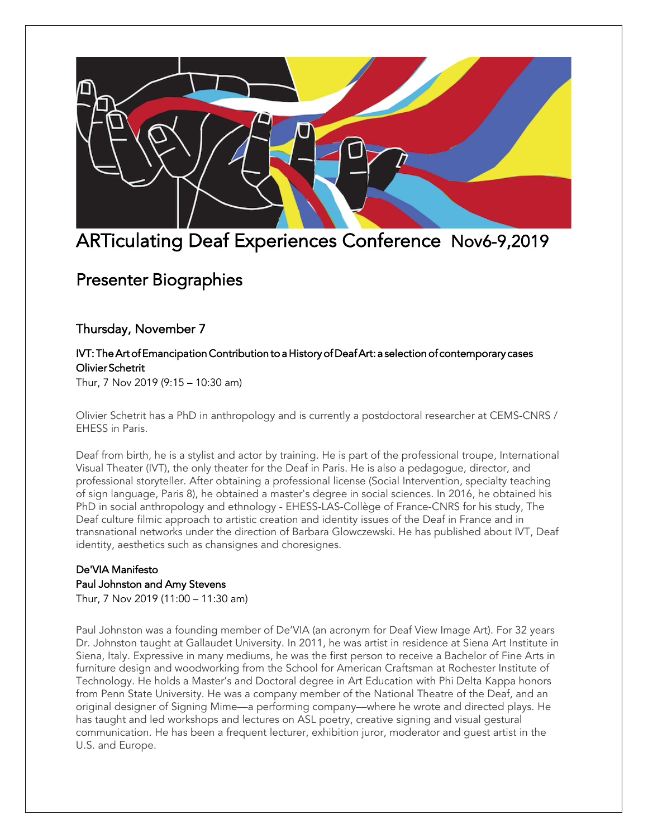

# ARTiculating Deaf Experiences Conference Nov6-9,2019

# Presenter Biographies

## Thursday, November 7

## IVT: The Art of Emancipation Contribution to a History of Deaf Art: a selection of contemporary cases Olivier Schetrit

Thur, 7 Nov 2019 (9:15 – 10:30 am)

Olivier Schetrit has a PhD in anthropology and is currently a postdoctoral researcher at CEMS-CNRS / EHESS in Paris.

Deaf from birth, he is a stylist and actor by training. He is part of the professional troupe, International Visual Theater (IVT), the only theater for the Deaf in Paris. He is also a pedagogue, director, and professional storyteller. After obtaining a professional license (Social Intervention, specialty teaching of sign language, Paris 8), he obtained a master's degree in social sciences. In 2016, he obtained his PhD in social anthropology and ethnology - EHESS-LAS-Collège of France-CNRS for his study, The Deaf culture filmic approach to artistic creation and identity issues of the Deaf in France and in transnational networks under the direction of Barbara Glowczewski. He has published about IVT, Deaf identity, aesthetics such as chansignes and choresignes.

## De'VIA Manifesto Paul Johnston and Amy Stevens

Thur, 7 Nov 2019 (11:00 – 11:30 am)

Paul Johnston was a founding member of De'VIA (an acronym for Deaf View Image Art). For 32 years Dr. Johnston taught at Gallaudet University. In 2011, he was artist in residence at Siena Art Institute in Siena, Italy. Expressive in many mediums, he was the first person to receive a Bachelor of Fine Arts in furniture design and woodworking from the School for American Craftsman at Rochester Institute of Technology. He holds a Master's and Doctoral degree in Art Education with Phi Delta Kappa honors from Penn State University. He was a company member of the National Theatre of the Deaf, and an original designer of Signing Mime—a performing company—where he wrote and directed plays. He has taught and led workshops and lectures on ASL poetry, creative signing and visual gestural communication. He has been a frequent lecturer, exhibition juror, moderator and guest artist in the U.S. and Europe.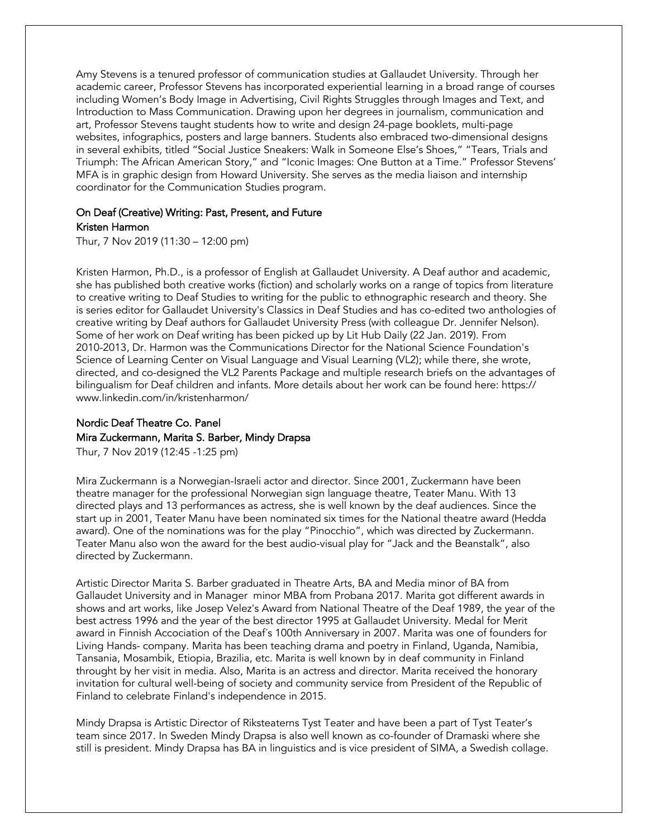Amy Stevens is a tenured professor of communication studies at Gallaudet University. Through her academic career, Professor Stevens has incorporated experiential learning in a broad range of courses including Women's Body Image in Advertising, Civil Rights Struggles through Images and Text, and Introduction to Mass Communication. Drawing upon her degrees in journalism, communication and art, Professor Stevens taught students how to write and design 24-page booklets, multi-page websites, infographics, posters and large banners. Students also embraced two-dimensional designs in several exhibits, titled "Social Justice Sneakers: Walk in Someone Else's Shoes," "Tears, Trials and Triumph: The African American Story," and "Iconic Images: One Button at a Time." Professor Stevens' MFA is in graphic design from Howard University. She serves as the media liaison and internship coordinator for the Communication Studies program.

# On Deaf (Creative) Writing: Past, Present, and Future

Kristen Harmon

Thur, 7 Nov 2019 (11:30 – 12:00 pm)

Kristen Harmon, Ph.D., is a professor of English at Gallaudet University. A Deaf author and academic, she has published both creative works (fiction) and scholarly works on a range of topics from literature to creative writing to Deaf Studies to writing for the public to ethnographic research and theory. She is series editor for Gallaudet University's Classics in Deaf Studies and has co-edited two anthologies of creative writing by Deaf authors for Gallaudet University Press (with colleague Dr. Jennifer Nelson). Some of her work on Deaf writing has been picked up by Lit Hub Daily (22 Jan. 2019). From 2010-2013, Dr. Harmon was the Communications Director for the National Science Foundation's Science of Learning Center on Visual Language and Visual Learning (VL2); while there, she wrote, directed, and co-designed the VL2 Parents Package and multiple research briefs on the advantages of bilingualism for Deaf children and infants. More details about her work can be found here: https:// www.linkedin.com/in/kristenharmon/

## Nordic Deaf Theatre Co. Panel Mira Zuckermann, Marita S. Barber, Mindy Drapsa

Thur, 7 Nov 2019 (12:45 -1:25 pm)

Mira Zuckermann is a Norwegian-Israeli actor and director. Since 2001, Zuckermann have been theatre manager for the professional Norwegian sign language theatre, Teater Manu. With 13 directed plays and 13 performances as actress, she is well known by the deaf audiences. Since the start up in 2001, Teater Manu have been nominated six times for the National theatre award (Hedda award). One of the nominations was for the play "Pinocchio", which was directed by Zuckermann. Teater Manu also won the award for the best audio-visual play for "Jack and the Beanstalk", also directed by Zuckermann.

Artistic Director Marita S. Barber graduated in Theatre Arts, BA and Media minor of BA from Gallaudet University and in Manager minor MBA from Probana 2017. Marita got different awards in shows and art works, like Josep Velez's Award from National Theatre of the Deaf 1989, the year of the best actress 1996 and the year of the best director 1995 at Gallaudet University. Medal for Merit award in Finnish Accociation of the Deaf´s 100th Anniversary in 2007. Marita was one of founders for Living Hands- company. Marita has been teaching drama and poetry in Finland, Uganda, Namibia, Tansania, Mosambik, Etiopia, Brazilia, etc. Marita is well known by in deaf community in Finland throught by her visit in media. Also, Marita is an actress and director. Marita received the honorary invitation for cultural well-being of society and community service from President of the Republic of Finland to celebrate Finland's independence in 2015.

Mindy Drapsa is Artistic Director of Riksteaterns Tyst Teater and have been a part of Tyst Teater's team since 2017. In Sweden Mindy Drapsa is also well known as co-founder of Dramaski where she still is president. Mindy Drapsa has BA in linguistics and is vice president of SIMA, a Swedish collage.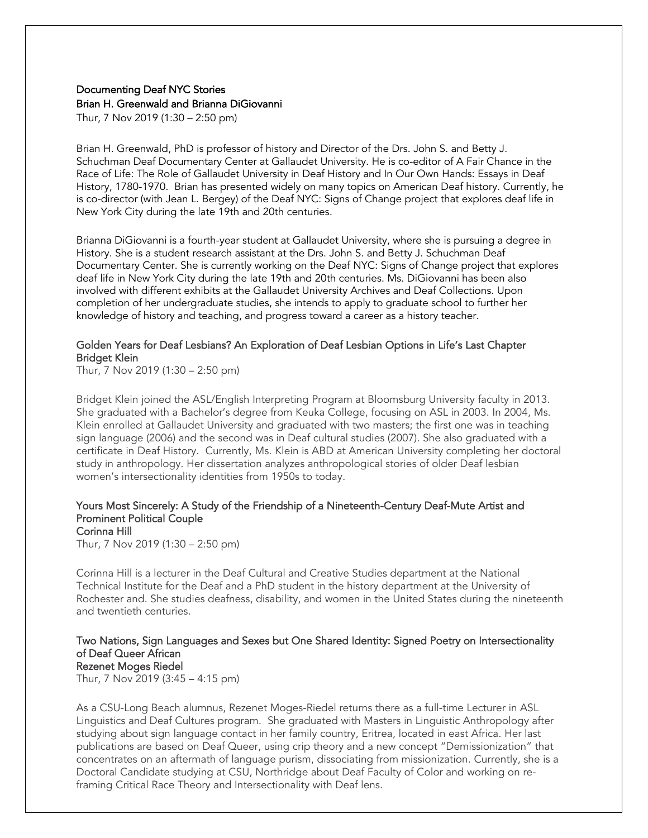## Documenting Deaf NYC Stories Brian H. Greenwald and Brianna DiGiovanni

Thur, 7 Nov 2019 (1:30 – 2:50 pm)

Brian H. Greenwald, PhD is professor of history and Director of the Drs. John S. and Betty J. Schuchman Deaf Documentary Center at Gallaudet University. He is co-editor of A Fair Chance in the Race of Life: The Role of Gallaudet University in Deaf History and In Our Own Hands: Essays in Deaf History, 1780-1970. Brian has presented widely on many topics on American Deaf history. Currently, he is co-director (with Jean L. Bergey) of the Deaf NYC: Signs of Change project that explores deaf life in New York City during the late 19th and 20th centuries.

Brianna DiGiovanni is a fourth-year student at Gallaudet University, where she is pursuing a degree in History. She is a student research assistant at the Drs. John S. and Betty J. Schuchman Deaf Documentary Center. She is currently working on the Deaf NYC: Signs of Change project that explores deaf life in New York City during the late 19th and 20th centuries. Ms. DiGiovanni has been also involved with different exhibits at the Gallaudet University Archives and Deaf Collections. Upon completion of her undergraduate studies, she intends to apply to graduate school to further her knowledge of history and teaching, and progress toward a career as a history teacher.

#### Golden Years for Deaf Lesbians? An Exploration of Deaf Lesbian Options in Life's Last Chapter Bridget Klein

Thur, 7 Nov 2019 (1:30 – 2:50 pm)

Bridget Klein joined the ASL/English Interpreting Program at Bloomsburg University faculty in 2013. She graduated with a Bachelor's degree from Keuka College, focusing on ASL in 2003. In 2004, Ms. Klein enrolled at Gallaudet University and graduated with two masters; the first one was in teaching sign language (2006) and the second was in Deaf cultural studies (2007). She also graduated with a certificate in Deaf History. Currently, Ms. Klein is ABD at American University completing her doctoral study in anthropology. Her dissertation analyzes anthropological stories of older Deaf lesbian women's intersectionality identities from 1950s to today.

#### Yours Most Sincerely: A Study of the Friendship of a Nineteenth-Century Deaf-Mute Artist and Prominent Political Couple Corinna Hill

Thur, 7 Nov 2019 (1:30 – 2:50 pm)

Corinna Hill is a lecturer in the Deaf Cultural and Creative Studies department at the National Technical Institute for the Deaf and a PhD student in the history department at the University of Rochester and. She studies deafness, disability, and women in the United States during the nineteenth and twentieth centuries.

#### Two Nations, Sign Languages and Sexes but One Shared Identity: Signed Poetry on Intersectionality of Deaf Queer African Rezenet Moges Riedel

Thur, 7 Nov 2019 (3:45 – 4:15 pm)

As a CSU-Long Beach alumnus, Rezenet Moges-Riedel returns there as a full-time Lecturer in ASL Linguistics and Deaf Cultures program. She graduated with Masters in Linguistic Anthropology after studying about sign language contact in her family country, Eritrea, located in east Africa. Her last publications are based on Deaf Queer, using crip theory and a new concept "Demissionization" that concentrates on an aftermath of language purism, dissociating from missionization. Currently, she is a Doctoral Candidate studying at CSU, Northridge about Deaf Faculty of Color and working on reframing Critical Race Theory and Intersectionality with Deaf lens.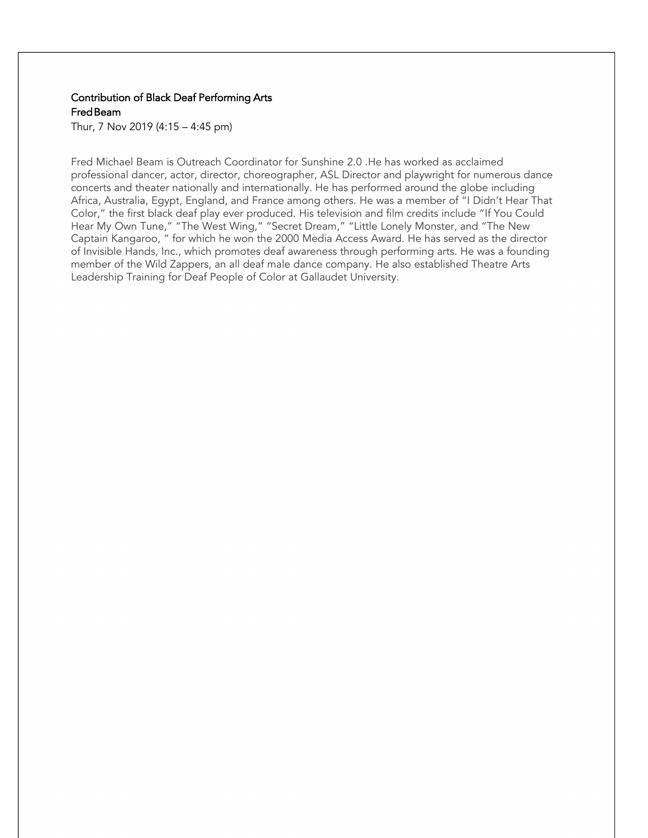### Contribution of Black Deaf Performing Arts Fred Beam

Thur, 7 Nov 2019 (4:15 – 4:45 pm)

Fred Michael Beam is Outreach Coordinator for Sunshine 2.0 .He has worked as acclaimed professional dancer, actor, director, choreographer, ASL Director and playwright for numerous dance concerts and theater nationally and internationally. He has performed around the globe including Africa, Australia, Egypt, England, and France among others. He was a member of "I Didn't Hear That Color," the first black deaf play ever produced. His television and film credits include "If You Could Hear My Own Tune," "The West Wing," "Secret Dream," "Little Lonely Monster, and "The New Captain Kangaroo, " for which he won the 2000 Media Access Award. He has served as the director of Invisible Hands, Inc., which promotes deaf awareness through performing arts. He was a founding member of the Wild Zappers, an all deaf male dance company. He also established Theatre Arts Leadership Training for Deaf People of Color at Gallaudet University.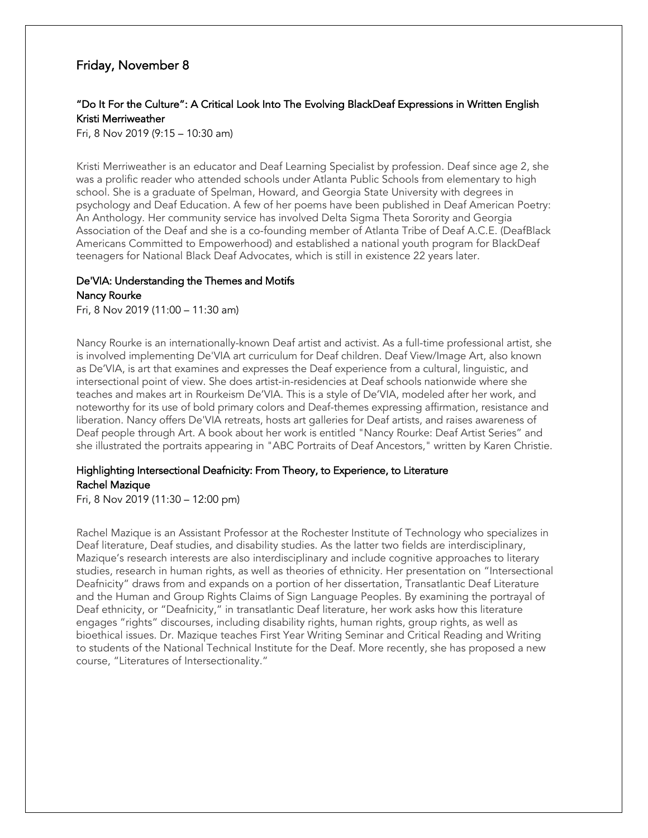## Friday, November 8

## "Do It For the Culture": A Critical Look Into The Evolving BlackDeaf Expressions in Written English Kristi Merriweather

Fri, 8 Nov 2019 (9:15 – 10:30 am)

Kristi Merriweather is an educator and Deaf Learning Specialist by profession. Deaf since age 2, she was a prolific reader who attended schools under Atlanta Public Schools from elementary to high school. She is a graduate of Spelman, Howard, and Georgia State University with degrees in psychology and Deaf Education. A few of her poems have been published in Deaf American Poetry: An Anthology. Her community service has involved Delta Sigma Theta Sorority and Georgia Association of the Deaf and she is a co-founding member of Atlanta Tribe of Deaf A.C.E. (DeafBlack Americans Committed to Empowerhood) and established a national youth program for BlackDeaf teenagers for National Black Deaf Advocates, which is still in existence 22 years later.

#### De'VIA: Understanding the Themes and Motifs Nancy Rourke

Fri, 8 Nov 2019 (11:00 – 11:30 am)

Nancy Rourke is an internationally-known Deaf artist and activist. As a full-time professional artist, she is involved implementing De'VIA art curriculum for Deaf children. Deaf View/Image Art, also known as De'VIA, is art that examines and expresses the Deaf experience from a cultural, linguistic, and intersectional point of view. She does artist-in-residencies at Deaf schools nationwide where she teaches and makes art in Rourkeism De'VIA. This is a style of De'VIA, modeled after her work, and noteworthy for its use of bold primary colors and Deaf-themes expressing affirmation, resistance and liberation. Nancy offers De'VIA retreats, hosts art galleries for Deaf artists, and raises awareness of Deaf people through Art. A book about her work is entitled "Nancy Rourke: Deaf Artist Series" and she illustrated the portraits appearing in "ABC Portraits of Deaf Ancestors," written by Karen Christie.

#### Highlighting Intersectional Deafnicity: From Theory, to Experience, to Literature Rachel Mazique

Fri, 8 Nov 2019 (11:30 – 12:00 pm)

Rachel Mazique is an Assistant Professor at the Rochester Institute of Technology who specializes in Deaf literature, Deaf studies, and disability studies. As the latter two fields are interdisciplinary, Mazique's research interests are also interdisciplinary and include cognitive approaches to literary studies, research in human rights, as well as theories of ethnicity. Her presentation on "Intersectional Deafnicity" draws from and expands on a portion of her dissertation, Transatlantic Deaf Literature and the Human and Group Rights Claims of Sign Language Peoples. By examining the portrayal of Deaf ethnicity, or "Deafnicity," in transatlantic Deaf literature, her work asks how this literature engages "rights" discourses, including disability rights, human rights, group rights, as well as bioethical issues. Dr. Mazique teaches First Year Writing Seminar and Critical Reading and Writing to students of the National Technical Institute for the Deaf. More recently, she has proposed a new course, "Literatures of Intersectionality."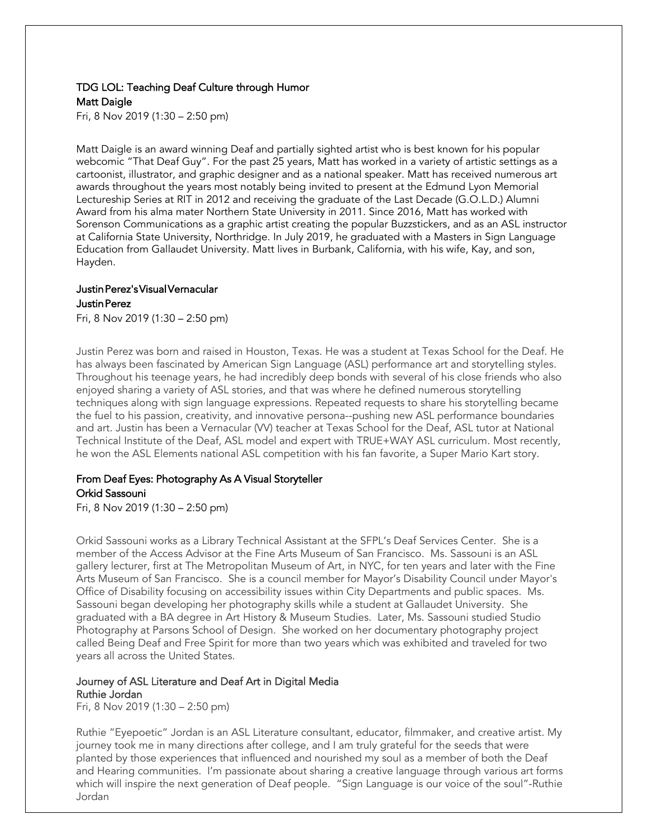## TDG LOL: Teaching Deaf Culture through Humor Matt Daigle

Fri, 8 Nov 2019 (1:30 – 2:50 pm)

Matt Daigle is an award winning Deaf and partially sighted artist who is best known for his popular webcomic "That Deaf Guy". For the past 25 years, Matt has worked in a variety of artistic settings as a cartoonist, illustrator, and graphic designer and as a national speaker. Matt has received numerous art awards throughout the years most notably being invited to present at the Edmund Lyon Memorial Lectureship Series at RIT in 2012 and receiving the graduate of the Last Decade (G.O.L.D.) Alumni Award from his alma mater Northern State University in 2011. Since 2016, Matt has worked with Sorenson Communications as a graphic artist creating the popular Buzzstickers, and as an ASL instructor at California State University, Northridge. In July 2019, he graduated with a Masters in Sign Language Education from Gallaudet University. Matt lives in Burbank, California, with his wife, Kay, and son, Hayden.

#### Justin Perez's Visual Vernacular Justin Perez

Fri, 8 Nov 2019 (1:30 – 2:50 pm)

Justin Perez was born and raised in Houston, Texas. He was a student at Texas School for the Deaf. He has always been fascinated by American Sign Language (ASL) performance art and storytelling styles. Throughout his teenage years, he had incredibly deep bonds with several of his close friends who also enjoyed sharing a variety of ASL stories, and that was where he defined numerous storytelling techniques along with sign language expressions. Repeated requests to share his storytelling became the fuel to his passion, creativity, and innovative persona--pushing new ASL performance boundaries and art. Justin has been a Vernacular (VV) teacher at Texas School for the Deaf, ASL tutor at National Technical Institute of the Deaf, ASL model and expert with TRUE+WAY ASL curriculum. Most recently, he won the ASL Elements national ASL competition with his fan favorite, a Super Mario Kart story.

#### From Deaf Eyes: Photography As A Visual Storyteller Orkid Sassouni

Fri, 8 Nov 2019 (1:30 – 2:50 pm)

Orkid Sassouni works as a Library Technical Assistant at the SFPL's Deaf Services Center. She is a member of the Access Advisor at the Fine Arts Museum of San Francisco. Ms. Sassouni is an ASL gallery lecturer, first at The Metropolitan Museum of Art, in NYC, for ten years and later with the Fine Arts Museum of San Francisco. She is a council member for Mayor's Disability Council under Mayor's Office of Disability focusing on accessibility issues within City Departments and public spaces. Ms. Sassouni began developing her photography skills while a student at Gallaudet University. She graduated with a BA degree in Art History & Museum Studies. Later, Ms. Sassouni studied Studio Photography at Parsons School of Design. She worked on her documentary photography project called Being Deaf and Free Spirit for more than two years which was exhibited and traveled for two years all across the United States.

#### Journey of ASL Literature and Deaf Art in Digital Media Ruthie Jordan

Fri, 8 Nov 2019 (1:30 – 2:50 pm)

Ruthie "Eyepoetic" Jordan is an ASL Literature consultant, educator, filmmaker, and creative artist. My journey took me in many directions after college, and I am truly grateful for the seeds that were planted by those experiences that influenced and nourished my soul as a member of both the Deaf and Hearing communities. I'm passionate about sharing a creative language through various art forms which will inspire the next generation of Deaf people. "Sign Language is our voice of the soul"-Ruthie Jordan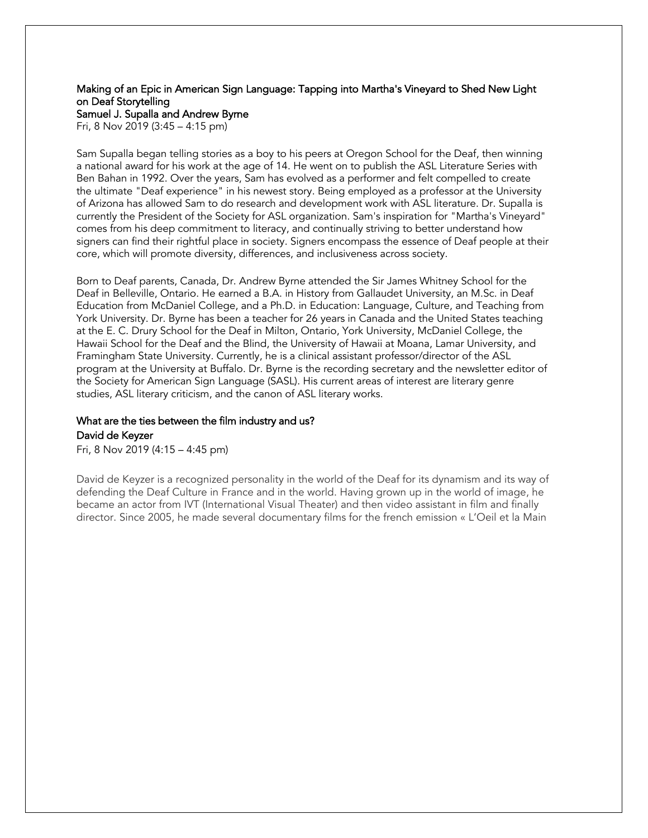#### Making of an Epic in American Sign Language: Tapping into Martha's Vineyard to Shed New Light on Deaf Storytelling Samuel J. Supalla and Andrew Byrne

Fri, 8 Nov 2019 (3:45 – 4:15 pm)

Sam Supalla began telling stories as a boy to his peers at Oregon School for the Deaf, then winning a national award for his work at the age of 14. He went on to publish the ASL Literature Series with Ben Bahan in 1992. Over the years, Sam has evolved as a performer and felt compelled to create the ultimate "Deaf experience" in his newest story. Being employed as a professor at the University of Arizona has allowed Sam to do research and development work with ASL literature. Dr. Supalla is currently the President of the Society for ASL organization. Sam's inspiration for "Martha's Vineyard" comes from his deep commitment to literacy, and continually striving to better understand how signers can find their rightful place in society. Signers encompass the essence of Deaf people at their core, which will promote diversity, differences, and inclusiveness across society.

Born to Deaf parents, Canada, Dr. Andrew Byrne attended the Sir James Whitney School for the Deaf in Belleville, Ontario. He earned a B.A. in History from Gallaudet University, an M.Sc. in Deaf Education from McDaniel College, and a Ph.D. in Education: Language, Culture, and Teaching from York University. Dr. Byrne has been a teacher for 26 years in Canada and the United States teaching at the E. C. Drury School for the Deaf in Milton, Ontario, York University, McDaniel College, the Hawaii School for the Deaf and the Blind, the University of Hawaii at Moana, Lamar University, and Framingham State University. Currently, he is a clinical assistant professor/director of the ASL program at the University at Buffalo. Dr. Byrne is the recording secretary and the newsletter editor of the Society for American Sign Language (SASL). His current areas of interest are literary genre studies, ASL literary criticism, and the canon of ASL literary works.

## What are the ties between the film industry and us? David de Keyzer

Fri, 8 Nov 2019 (4:15 – 4:45 pm)

David de Keyzer is a recognized personality in the world of the Deaf for its dynamism and its way of defending the Deaf Culture in France and in the world. Having grown up in the world of image, he became an actor from IVT (International Visual Theater) and then video assistant in film and finally director. Since 2005, he made several documentary films for the french emission « L'Oeil et la Main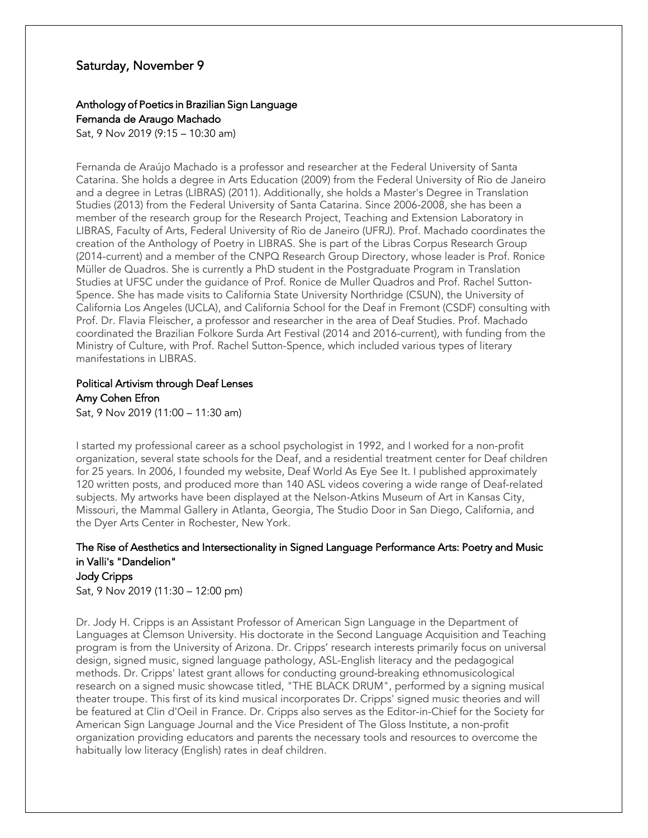## Saturday, November 9

# Anthology of Poetics in Brazilian Sign Language

Fernanda de Araugo Machado

Sat, 9 Nov 2019 (9:15 – 10:30 am)

Fernanda de Araújo Machado is a professor and researcher at the Federal University of Santa Catarina. She holds a degree in Arts Education (2009) from the Federal University of Rio de Janeiro and a degree in Letras (LIBRAS) (2011). Additionally, she holds a Master's Degree in Translation Studies (2013) from the Federal University of Santa Catarina. Since 2006-2008, she has been a member of the research group for the Research Project, Teaching and Extension Laboratory in LIBRAS, Faculty of Arts, Federal University of Rio de Janeiro (UFRJ). Prof. Machado coordinates the creation of the Anthology of Poetry in LIBRAS. She is part of the Libras Corpus Research Group (2014-current) and a member of the CNPQ Research Group Directory, whose leader is Prof. Ronice Müller de Quadros. She is currently a PhD student in the Postgraduate Program in Translation Studies at UFSC under the guidance of Prof. Ronice de Muller Quadros and Prof. Rachel Sutton-Spence. She has made visits to California State University Northridge (CSUN), the University of California Los Angeles (UCLA), and California School for the Deaf in Fremont (CSDF) consulting with Prof. Dr. Flavia Fleischer, a professor and researcher in the area of Deaf Studies. Prof. Machado coordinated the Brazilian Folkore Surda Art Festival (2014 and 2016-current), with funding from the Ministry of Culture, with Prof. Rachel Sutton-Spence, which included various types of literary manifestations in LIBRAS.

## Political Artivism through Deaf Lenses Amy Cohen Efron

Sat, 9 Nov 2019 (11:00 – 11:30 am)

I started my professional career as a school psychologist in 1992, and I worked for a non-profit organization, several state schools for the Deaf, and a residential treatment center for Deaf children for 25 years. In 2006, I founded my website, Deaf World As Eye See It. I published approximately 120 written posts, and produced more than 140 ASL videos covering a wide range of Deaf-related subjects. My artworks have been displayed at the Nelson-Atkins Museum of Art in Kansas City, Missouri, the Mammal Gallery in Atlanta, Georgia, The Studio Door in San Diego, California, and the Dyer Arts Center in Rochester, New York.

# The Rise of Aesthetics and Intersectionality in Signed Language Performance Arts: Poetry and Music in Valli's "Dandelion"

Jody Cripps Sat, 9 Nov 2019 (11:30 – 12:00 pm)

Dr. Jody H. Cripps is an Assistant Professor of American Sign Language in the Department of Languages at Clemson University. His doctorate in the Second Language Acquisition and Teaching program is from the University of Arizona. Dr. Cripps' research interests primarily focus on universal design, signed music, signed language pathology, ASL-English literacy and the pedagogical methods. Dr. Cripps' latest grant allows for conducting ground-breaking ethnomusicological research on a signed music showcase titled, "THE BLACK DRUM", performed by a signing musical theater troupe. This first of its kind musical incorporates Dr. Cripps' signed music theories and will be featured at Clin d'Oeil in France. Dr. Cripps also serves as the Editor-in-Chief for the Society for American Sign Language Journal and the Vice President of The Gloss Institute, a non-profit organization providing educators and parents the necessary tools and resources to overcome the habitually low literacy (English) rates in deaf children.